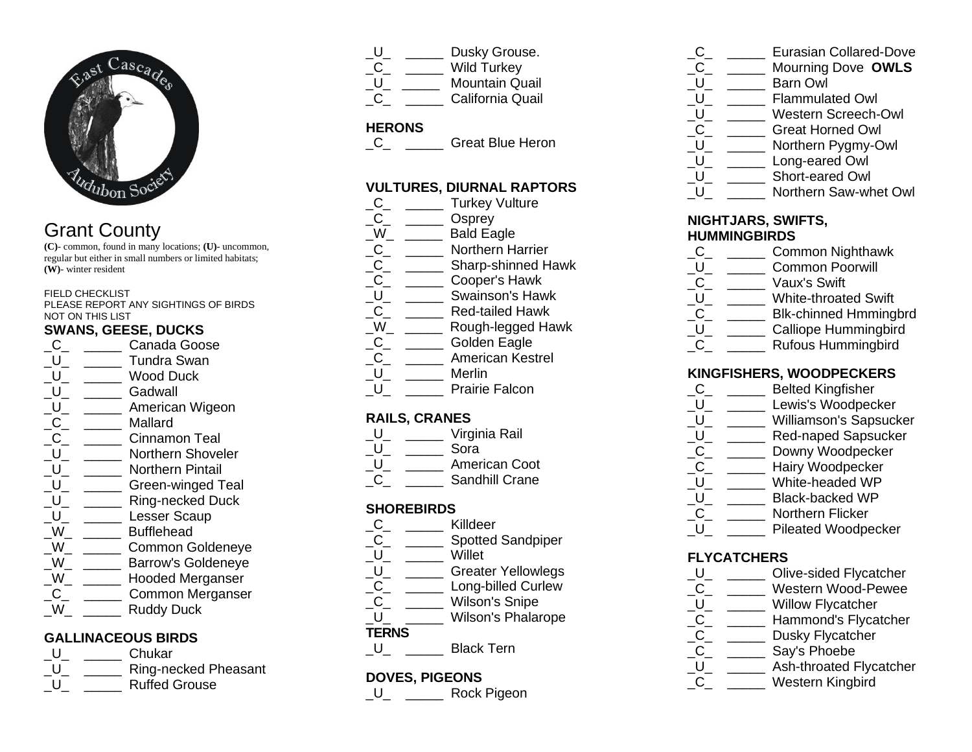

# Grant County

**(C)**- common, found in many locations; **(U)**- uncommon, regular but either in small numbers or limited habitats; **(W)**- winter resident

#### FIELD CHECKLIST

PLEASE REPORT ANY SIGHTINGS OF BIRDS NOT ON THIS LIST

#### **SWANS, GEESE, DUCKS**

C<sub>c</sub> Canada Goose U **Tundra Swan** U Wood Duck \_U\_ \_\_\_\_\_ Gadwall \_U\_ \_\_\_\_\_ American Wigeon C<sub>Mallard</sub> C Cinnamon Teal U Morthern Shoveler U Northern Pintail U Green-winged Teal \_U\_ \_\_\_\_\_ Ring-necked Duck U Lesser Scaup \_W\_ \_\_\_\_\_ Bufflehead W **Common Goldeneve** \_W\_ \_\_\_\_\_ Barrow's Goldeneye W **Hooded Merganser** C Common Merganser W Ruddy Duck

## **GALLINACEOUS BIRDS**

| $\mathbf{I}$ | Chukar               |
|--------------|----------------------|
|              | Ring-necked Pheasant |
|              | <b>Ruffed Grouse</b> |

|  | Dusky Grouse.         |
|--|-----------------------|
|  | <b>Wild Turkey</b>    |
|  | <b>Mountain Quail</b> |
|  | California Quail      |

## **HERONS**

C<sub>c</sub> C<sub>Great Blue Heron</sub>

## **VULTURES, DIURNAL RAPTORS**

- C\_ \_\_\_\_\_\_ Turkey Vulture C<sub>Osprev</sub>  $\sqrt{W}$   $\sqrt{W}$  Bald Eagle \_C\_ \_\_\_\_\_ Northern Harrier \_C\_ \_\_\_\_\_ Sharp-shinned Hawk \_C\_ \_\_\_\_\_ Cooper's Hawk \_U\_ \_\_\_\_\_ Swainson's Hawk \_C\_ \_\_\_\_\_ Red-tailed Hawk W Rough-legged Hawk C<sub>c</sub> Colden Eagle \_C\_ \_\_\_\_\_ American Kestrel U \_\_\_\_\_\_ Merlin U Prairie Falcon **RAILS, CRANES** \_U\_ \_\_\_\_\_ Virginia Rail
- $U_{-}$   $\_\_\_\_\_\_\$  Sora U \_\_\_\_\_ American Coot
- Sandhill Crane

#### **SHOREBIRDS**

- \_C\_ \_\_\_\_\_ Killdeer<br>C Spotted
- Spotted Sandpiper
- $\begin{array}{ccc} \begin{array}{ccc} U_- & \text{} & \text{} & \text{Willet} \\ \hline \text{U} & & \end{array} \end{array}$
- Greater Yellowlegs
- C Long-billed Curlew
- C\_ \_\_\_\_\_ Wilson's Snipe<br>U \_\_\_\_ Wilson's Phalar
- Wilson's Phalarope

## **TERNS**

\_U\_ \_\_\_\_\_ Black Tern

## **DOVES, PIGEONS**

\_U\_ \_\_\_\_\_ Rock Pigeon

- C<sub>D</sub> Eurasian Collared-Dove
- \_C\_ \_\_\_\_\_ Mourning Dove **OWLS**
- 
- \_U\_ \_\_\_\_\_\_ Barn Owl<br>U Flammula Flammulated Owl
- 
- \_U\_ \_\_\_\_\_\_ Western Screech-Owl<br>C \_\_\_\_\_\_ Great Horned Owl Great Horned Owl
- \_U\_ \_\_\_\_\_ Northern Pygmy-Owl
- \_U\_ \_\_\_\_\_ Long-eared Owl
- \_U\_ \_\_\_\_\_ Short-eared Owl
- U Morthern Saw-whet Owl

#### **NIGHTJARS, SWIFTS, HUMMINGBIRDS**

- \_C\_ \_\_\_\_\_ Common Nighthawk
- \_U\_ \_\_\_\_\_ Common Poorwill
- \_C\_ \_\_\_\_\_ Vaux's Swift
- U White-throated Swift
- \_C\_ \_\_\_\_\_\_ Blk-chinned Hmmingbrd
- U Calliope Hummingbird
- C<sub>\_</sub> \_\_\_\_\_\_ Rufous Hummingbird

## **KINGFISHERS, WOODPECKERS**

- \_C\_ \_\_\_\_\_ Belted Kingfisher
- \_U\_ \_\_\_\_\_\_ Lewis's Woodpecker
- \_U\_ \_\_\_\_\_ Williamson's Sapsucker
- U Red-naped Sapsucker
- \_C\_ \_\_\_\_\_ Downy Woodpecker
- \_C\_ \_\_\_\_\_ Hairy Woodpecker
- \_U\_ \_\_\_\_\_ White-headed WP
- U Black-backed WP
- C \_\_\_\_\_ Northern Flicker
- \_U\_ \_\_\_\_\_ Pileated Woodpecker

## **FLYCATCHERS**

- \_U\_ \_\_\_\_\_ Olive-sided Flycatcher \_C\_ \_\_\_\_\_ Western Wood-Pewee<br>U\_ \_\_\_\_\_ Willow Flycatcher Willow Flycatcher \_C\_ \_\_\_\_\_ Hammond's Flycatcher<br>\_C\_ \_\_\_\_\_ Dusky Flycatcher \_C\_ \_\_\_\_\_\_ Dusky Flycatcher<br>\_C\_ \_\_\_\_\_ Say's Phoebe Say's Phoebe
- U Ash-throated Flycatcher
- \_C\_ \_\_\_\_\_ Western Kingbird